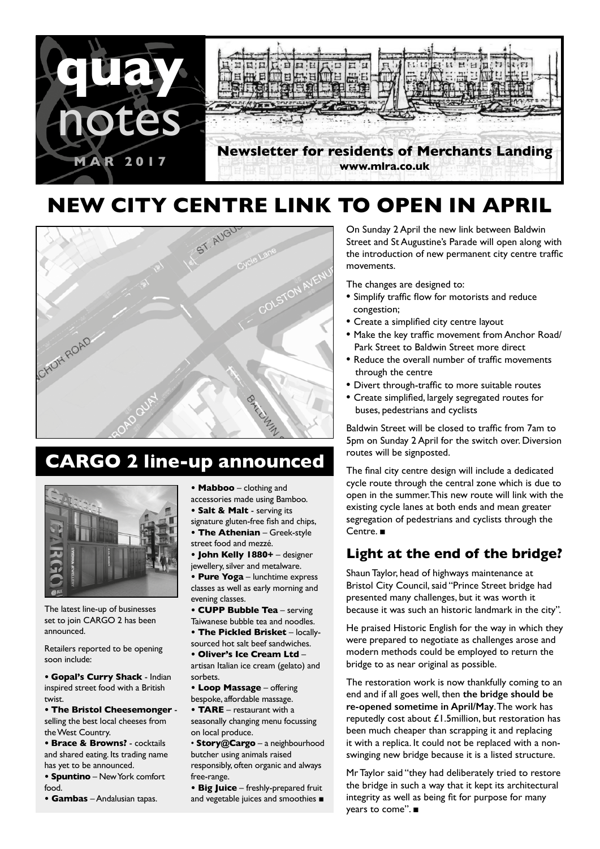

# **NEW CITY CENTRE LINK TO OPEN IN APRIL**



# **CARGO 2 line-up announced**



The latest line-up of businesses set to join CARGO 2 has been announced.

Retailers reported to be opening soon include:

**• Gopal's Curry Shack** - Indian inspired street food with a British twist.

**• The Bristol Cheesemonger** selling the best local cheeses from the West Country.

**• Brace & Browns?** - cocktails and shared eating. Its trading name has yet to be announced.

**• Spuntino** – New York comfort food.

**• Gambas** – Andalusian tapas.

**• Mabboo** – clothing and accessories made using Bamboo.

- **Salt & Malt**  serving its
- signature gluten-free fish and chips, **• The Athenian** – Greek-style
- street food and mezzé. **• John Kelly 1880+** – designer

jewellery, silver and metalware.

**• Pure Yoga** – lunchtime express classes as well as early morning and evening classes.

**• CUPP Bubble Tea** – serving

Taiwanese bubble tea and noodles. **• The Pickled Brisket** – locally-

sourced hot salt beef sandwiches.

**• Oliver's Ice Cream Ltd** – artisan Italian ice cream (gelato) and sorbets.

**• Loop Massage** – offering bespoke, affordable massage.

**• TARE** – restaurant with a seasonally changing menu focussing on local produce.

• **Story@Cargo** – a neighbourhood butcher using animals raised responsibly, often organic and always free-range.

**• Big Juice** – freshly-prepared fruit and vegetable juices and smoothies ■ On Sunday 2 April the new link between Baldwin Street and St Augustine's Parade will open along with the introduction of new permanent city centre traffic movements.

The changes are designed to:

- **·** Simplify traffic flow for motorists and reduce congestion;
- **·** Create a simplified city centre layout
- **·** Make the key traffic movement from Anchor Road/ Park Street to Baldwin Street more direct
- **·** Reduce the overall number of traffic movements through the centre
- **·** Divert through-traffic to more suitable routes
- **·** Create simplified, largely segregated routes for buses, pedestrians and cyclists

Baldwin Street will be closed to traffic from 7am to 5pm on Sunday 2 April for the switch over. Diversion routes will be signposted.

The final city centre design will include a dedicated cycle route through the central zone which is due to open in the summer. This new route will link with the existing cycle lanes at both ends and mean greater segregation of pedestrians and cyclists through the Centre. ■

### **Light at the end of the bridge?**

Shaun Taylor, head of highways maintenance at Bristol City Council, said "Prince Street bridge had presented many challenges, but it was worth it because it was such an historic landmark in the city".

He praised Historic English for the way in which they were prepared to negotiate as challenges arose and modern methods could be employed to return the bridge to as near original as possible.

The restoration work is now thankfully coming to an end and if all goes well, then **the bridge should be re-opened sometime in April/May**. The work has reputedly cost about £1.5million, but restoration has been much cheaper than scrapping it and replacing it with a replica. It could not be replaced with a nonswinging new bridge because it is a listed structure.

Mr Taylor said "they had deliberately tried to restore the bridge in such a way that it kept its architectural integrity as well as being fit for purpose for many years to come". ■